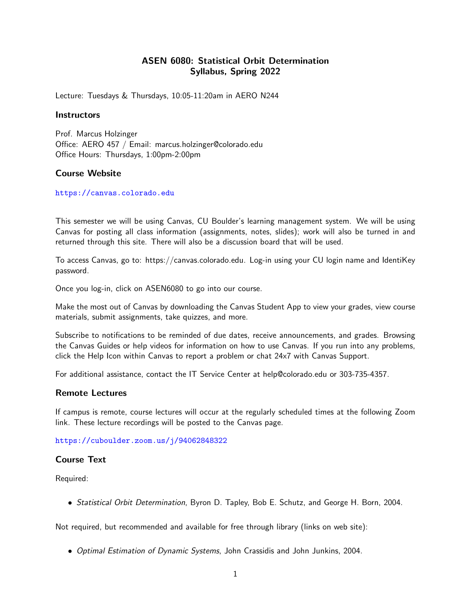# ASEN 6080: Statistical Orbit Determination Syllabus, Spring 2022

Lecture: Tuesdays & Thursdays, 10:05-11:20am in AERO N244

### **Instructors**

Prof. Marcus Holzinger Office: AERO 457 / Email: marcus.holzinger@colorado.edu Office Hours: Thursdays, 1:00pm-2:00pm

### Course Website

<https://canvas.colorado.edu>

This semester we will be using Canvas, CU Boulder's learning management system. We will be using Canvas for posting all class information (assignments, notes, slides); work will also be turned in and returned through this site. There will also be a discussion board that will be used.

To access Canvas, go to: https://canvas.colorado.edu. Log-in using your CU login name and IdentiKey password.

Once you log-in, click on ASEN6080 to go into our course.

Make the most out of Canvas by downloading the Canvas Student App to view your grades, view course materials, submit assignments, take quizzes, and more.

Subscribe to notifications to be reminded of due dates, receive announcements, and grades. Browsing the Canvas Guides or help videos for information on how to use Canvas. If you run into any problems, click the Help Icon within Canvas to report a problem or chat 24x7 with Canvas Support.

For additional assistance, contact the IT Service Center at help@colorado.edu or 303-735-4357.

#### Remote Lectures

If campus is remote, course lectures will occur at the regularly scheduled times at the following Zoom link. These lecture recordings will be posted to the Canvas page.

<https://cuboulder.zoom.us/j/94062848322>

#### Course Text

Required:

• Statistical Orbit Determination, Byron D. Tapley, Bob E. Schutz, and George H. Born, 2004.

Not required, but recommended and available for free through library (links on web site):

• Optimal Estimation of Dynamic Systems, John Crassidis and John Junkins, 2004.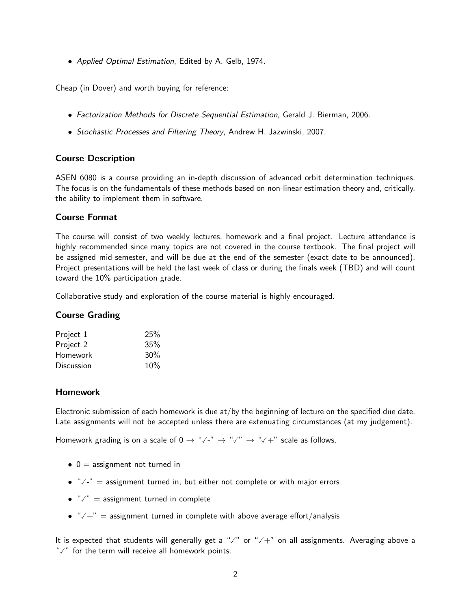• Applied Optimal Estimation, Edited by A. Gelb, 1974.

Cheap (in Dover) and worth buying for reference:

- Factorization Methods for Discrete Sequential Estimation, Gerald J. Bierman, 2006.
- Stochastic Processes and Filtering Theory, Andrew H. Jazwinski, 2007.

## Course Description

ASEN 6080 is a course providing an in-depth discussion of advanced orbit determination techniques. The focus is on the fundamentals of these methods based on non-linear estimation theory and, critically, the ability to implement them in software.

## Course Format

The course will consist of two weekly lectures, homework and a final project. Lecture attendance is highly recommended since many topics are not covered in the course textbook. The final project will be assigned mid-semester, and will be due at the end of the semester (exact date to be announced). Project presentations will be held the last week of class or during the finals week (TBD) and will count toward the 10% participation grade.

Collaborative study and exploration of the course material is highly encouraged.

## Course Grading

| Project 1  | 25% |
|------------|-----|
| Project 2  | 35% |
| Homework   | 30% |
| Discussion | 10% |
|            |     |

### Homework

Electronic submission of each homework is due at/by the beginning of lecture on the specified due date. Late assignments will not be accepted unless there are extenuating circumstances (at my judgement).

Homework grading is on a scale of 0 <sup>→</sup> "-" <sup>→</sup> "" <sup>→</sup> "+" scale as follows.

- $\bullet$  0 = assignment not turned in
- $\bullet$  " $\checkmark$ -" = assignment turned in, but either not complete or with major errors
- $\bullet$  " $\checkmark$ " = assignment turned in complete
- $\sqrt{+}$  = assignment turned in complete with above average effort/analysis

It is expected that students will generally get a " $\sqrt{ }$ " or " $\sqrt{+}$ " on all assignments. Averaging above a " $\sqrt{ }$ " for the term will receive all homework points.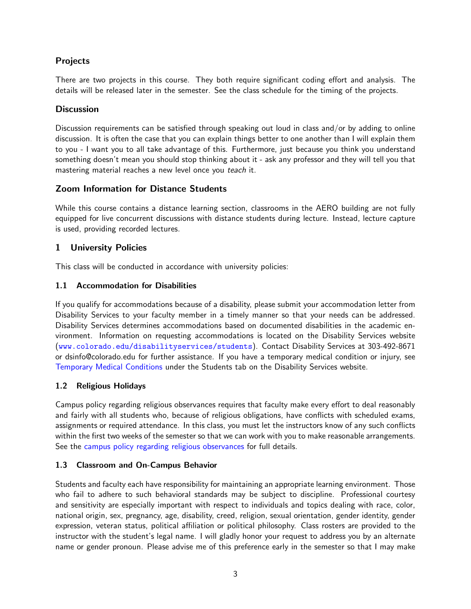# Projects

There are two projects in this course. They both require significant coding effort and analysis. The details will be released later in the semester. See the class schedule for the timing of the projects.

# **Discussion**

Discussion requirements can be satisfied through speaking out loud in class and/or by adding to online discussion. It is often the case that you can explain things better to one another than I will explain them to you - I want you to all take advantage of this. Furthermore, just because you think you understand something doesn't mean you should stop thinking about it - ask any professor and they will tell you that mastering material reaches a new level once you teach it.

# Zoom Information for Distance Students

While this course contains a distance learning section, classrooms in the AERO building are not fully equipped for live concurrent discussions with distance students during lecture. Instead, lecture capture is used, providing recorded lectures.

# 1 University Policies

This class will be conducted in accordance with university policies:

## 1.1 Accommodation for Disabilities

If you qualify for accommodations because of a disability, please submit your accommodation letter from Disability Services to your faculty member in a timely manner so that your needs can be addressed. Disability Services determines accommodations based on documented disabilities in the academic environment. Information on requesting accommodations is located on the Disability Services website (<www.colorado.edu/disabilityservices/students>). Contact Disability Services at 303-492-8671 or dsinfo@colorado.edu for further assistance. If you have a temporary medical condition or injury, see [Temporary Medical Conditions](http://www.colorado.edu/disabilityservices/students/temporary-medical-conditions) under the Students tab on the Disability Services website.

## 1.2 Religious Holidays

Campus policy regarding religious observances requires that faculty make every effort to deal reasonably and fairly with all students who, because of religious obligations, have conflicts with scheduled exams, assignments or required attendance. In this class, you must let the instructors know of any such conflicts within the first two weeks of the semester so that we can work with you to make reasonable arrangements. See the [campus policy regarding religious observances](http://www.colorado.edu/policies/observance-religious-holidays-and-absences-classes-andor-exams) for full details.

## 1.3 Classroom and On-Campus Behavior

Students and faculty each have responsibility for maintaining an appropriate learning environment. Those who fail to adhere to such behavioral standards may be subject to discipline. Professional courtesy and sensitivity are especially important with respect to individuals and topics dealing with race, color, national origin, sex, pregnancy, age, disability, creed, religion, sexual orientation, gender identity, gender expression, veteran status, political affiliation or political philosophy. Class rosters are provided to the instructor with the student's legal name. I will gladly honor your request to address you by an alternate name or gender pronoun. Please advise me of this preference early in the semester so that I may make